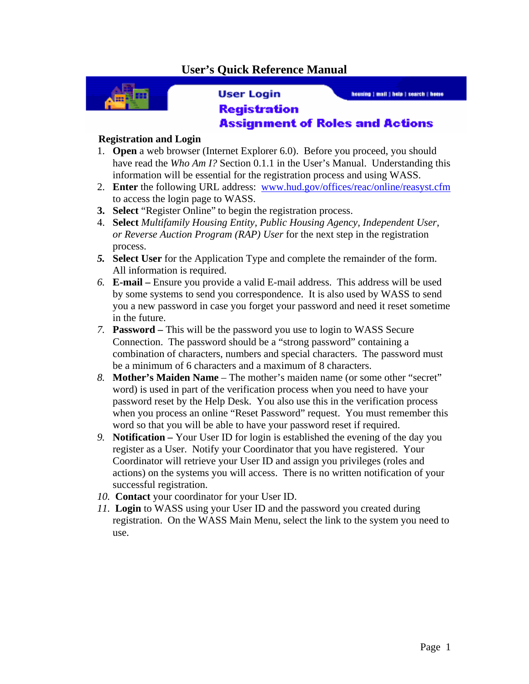## **User's Quick Reference Manual**



**User Login** 

housing | mail | hole | search | home

## **Registration Assignment of Roles and Actions**

## **Registration and Login**

- 1. **Open** a web browser (Internet Explorer 6.0). Before you proceed, you should have read the *Who Am I?* Section 0.1.1 in the User's Manual. Understanding this information will be essential for the registration process and using WASS.
- 2. **Enter** the following URL address: www.hud.gov/offices/reac/online/reasyst.cfm to access the login page to WASS.
- **3. Select** "Register Online" to begin the registration process.
- 4. **Select** *Multifamily Housing Entity, Public Housing Agency, Independent User, or Reverse Auction Program (RAP) User* for the next step in the registration process.
- *5.* **Select User** for the Application Type and complete the remainder of the form. All information is required.
- *6.* **E-mail** Ensure you provide a valid E-mail address. This address will be used by some systems to send you correspondence. It is also used by WASS to send you a new password in case you forget your password and need it reset sometime in the future.
- *7.* **Password** This will be the password you use to login to WASS Secure Connection. The password should be a "strong password" containing a combination of characters, numbers and special characters. The password must be a minimum of 6 characters and a maximum of 8 characters.
- *8.* **Mother's Maiden Name**  The mother's maiden name (or some other "secret" word) is used in part of the verification process when you need to have your password reset by the Help Desk. You also use this in the verification process when you process an online "Reset Password" request. You must remember this word so that you will be able to have your password reset if required.
- *9.* **Notification** Your User ID for login is established the evening of the day you register as a User. Notify your Coordinator that you have registered. Your Coordinator will retrieve your User ID and assign you privileges (roles and actions) on the systems you will access. There is no written notification of your successful registration.
- *10.* **Contact** your coordinator for your User ID.
- *11.* **Login** to WASS using your User ID and the password you created during registration.On the WASS Main Menu, select the link to the system you need to use.